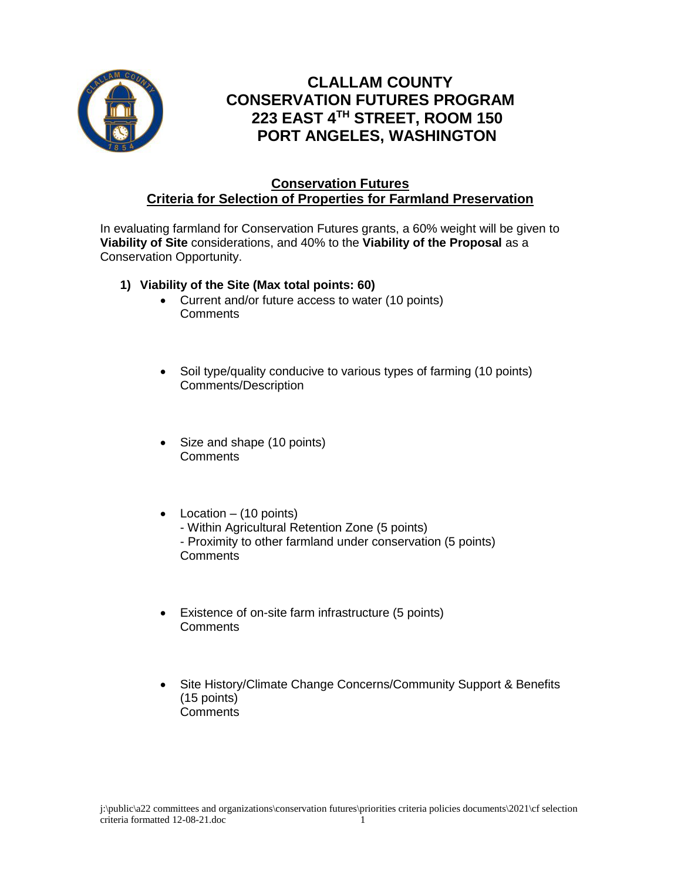

## **CLALLAM COUNTY CONSERVATION FUTURES PROGRAM 223 EAST 4TH STREET, ROOM 150 PORT ANGELES, WASHINGTON**

## **Conservation Futures Criteria for Selection of Properties for Farmland Preservation**

In evaluating farmland for Conservation Futures grants, a 60% weight will be given to **Viability of Site** considerations, and 40% to the **Viability of the Proposal** as a Conservation Opportunity.

- **1) Viability of the Site (Max total points: 60)**
	- Current and/or future access to water (10 points) **Comments**
	- Soil type/quality conducive to various types of farming (10 points) Comments/Description
	- Size and shape (10 points) **Comments**
	- Location  $-$  (10 points) - Within Agricultural Retention Zone (5 points) - Proximity to other farmland under conservation (5 points) **Comments**
	- Existence of on-site farm infrastructure (5 points) **Comments**
	- Site History/Climate Change Concerns/Community Support & Benefits (15 points) **Comments**